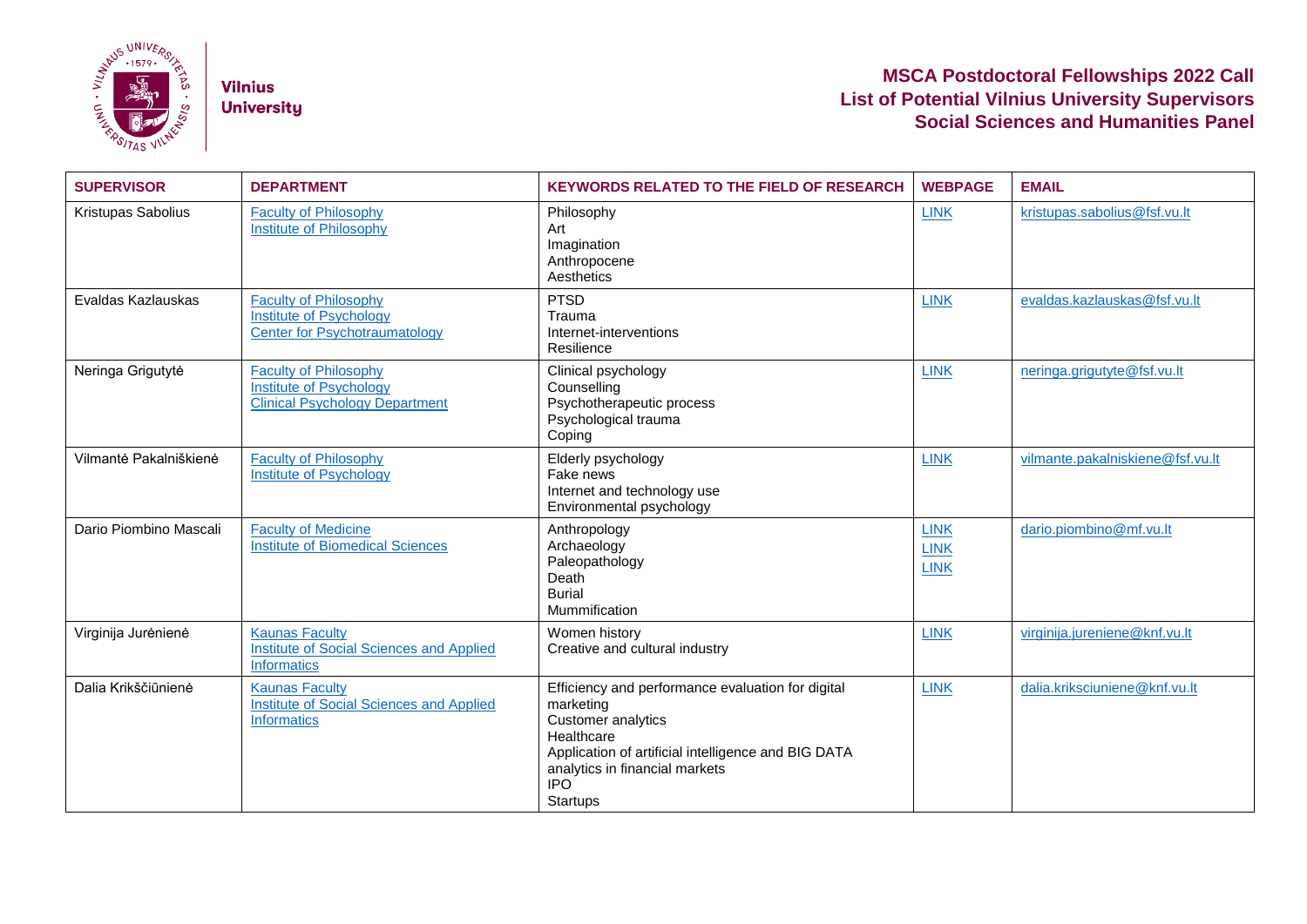

**Vilnius University** 

## **MSCA Postdoctoral Fellowships 2022 Call List of Potential Vilnius University Supervisors Social Sciences and Humanities Panel**

| <b>SUPERVISOR</b>      | <b>DEPARTMENT</b>                                                                                      | <b>KEYWORDS RELATED TO THE FIELD OF RESEARCH</b>                                                                                                                                                                             | <b>WEBPAGE</b>                            | <b>EMAIL</b>                     |
|------------------------|--------------------------------------------------------------------------------------------------------|------------------------------------------------------------------------------------------------------------------------------------------------------------------------------------------------------------------------------|-------------------------------------------|----------------------------------|
| Kristupas Sabolius     | <b>Faculty of Philosophy</b><br><b>Institute of Philosophy</b>                                         | Philosophy<br>Art<br>Imagination<br>Anthropocene<br>Aesthetics                                                                                                                                                               | <b>LINK</b>                               | kristupas.sabolius@fsf.vu.lt     |
| Evaldas Kazlauskas     | <b>Faculty of Philosophy</b><br><b>Institute of Psychology</b><br><b>Center for Psychotraumatology</b> | <b>PTSD</b><br>Trauma<br>Internet-interventions<br>Resilience                                                                                                                                                                | <b>LINK</b>                               | evaldas.kazlauskas@fsf.vu.lt     |
| Neringa Grigutytė      | <b>Faculty of Philosophy</b><br>Institute of Psychology<br><b>Clinical Psychology Department</b>       | Clinical psychology<br>Counselling<br>Psychotherapeutic process<br>Psychological trauma<br>Coping                                                                                                                            | <b>LINK</b>                               | neringa.grigutyte@fsf.vu.lt      |
| Vilmantė Pakalniškienė | <b>Faculty of Philosophy</b><br><b>Institute of Psychology</b>                                         | Elderly psychology<br>Fake news<br>Internet and technology use<br>Environmental psychology                                                                                                                                   | <b>LINK</b>                               | vilmante.pakalniskiene@fsf.vu.lt |
| Dario Piombino Mascali | <b>Faculty of Medicine</b><br><b>Institute of Biomedical Sciences</b>                                  | Anthropology<br>Archaeology<br>Paleopathology<br>Death<br><b>Burial</b><br>Mummification                                                                                                                                     | <b>LINK</b><br><b>LINK</b><br><b>LINK</b> | dario.piombino@mf.vu.lt          |
| Virginija Jurėnienė    | <b>Kaunas Faculty</b><br><b>Institute of Social Sciences and Applied</b><br><b>Informatics</b>         | Women history<br>Creative and cultural industry                                                                                                                                                                              | <b>LINK</b>                               | virginija.jureniene@knf.vu.lt    |
| Dalia Krikščiūnienė    | <b>Kaunas Faculty</b><br><b>Institute of Social Sciences and Applied</b><br><b>Informatics</b>         | Efficiency and performance evaluation for digital<br>marketing<br>Customer analytics<br>Healthcare<br>Application of artificial intelligence and BIG DATA<br>analytics in financial markets<br><b>IPO</b><br><b>Startups</b> | <b>LINK</b>                               | dalia.kriksciuniene@knf.vu.lt    |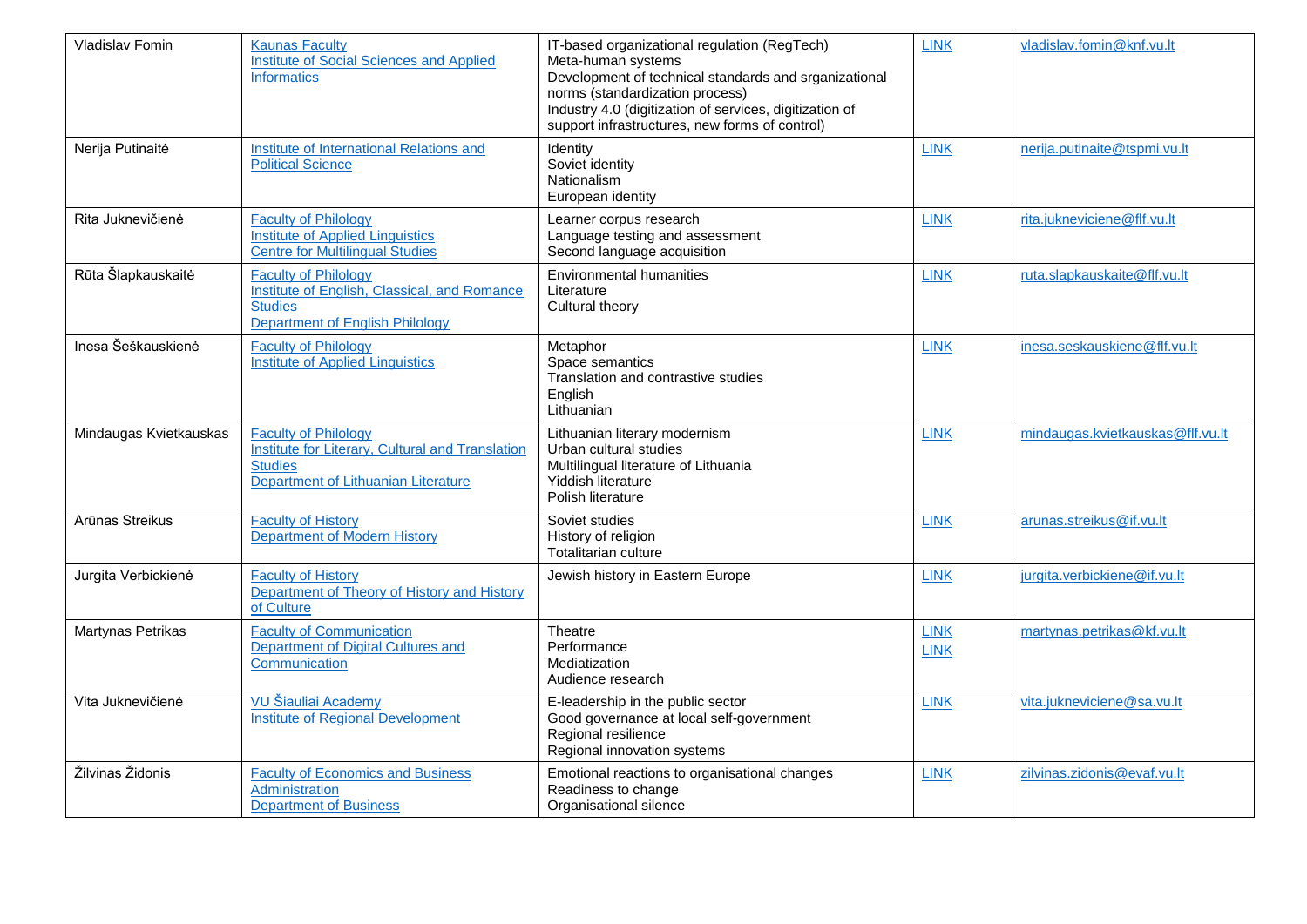| Vladislav Fomin        | <b>Kaunas Faculty</b><br>Institute of Social Sciences and Applied<br><b>Informatics</b>                                                         | IT-based organizational regulation (RegTech)<br>Meta-human systems<br>Development of technical standards and srganizational<br>norms (standardization process)<br>Industry 4.0 (digitization of services, digitization of<br>support infrastructures, new forms of control) | <b>LINK</b>                | vladislav.fomin@knf.vu.lt        |
|------------------------|-------------------------------------------------------------------------------------------------------------------------------------------------|-----------------------------------------------------------------------------------------------------------------------------------------------------------------------------------------------------------------------------------------------------------------------------|----------------------------|----------------------------------|
| Nerija Putinaitė       | <b>Institute of International Relations and</b><br><b>Political Science</b>                                                                     | Identity<br>Soviet identity<br>Nationalism<br>European identity                                                                                                                                                                                                             | <b>LINK</b>                | nerija.putinaite@tspmi.vu.lt     |
| Rita Juknevičienė      | <b>Faculty of Philology</b><br><b>Institute of Applied Linguistics</b><br><b>Centre for Multilingual Studies</b>                                | Learner corpus research<br>Language testing and assessment<br>Second language acquisition                                                                                                                                                                                   | <b>LINK</b>                | rita.jukneviciene@flf.vu.lt      |
| Rūta Šlapkauskaitė     | <b>Faculty of Philology</b><br>Institute of English, Classical, and Romance<br><b>Studies</b><br><b>Department of English Philology</b>         | <b>Environmental humanities</b><br>Literature<br>Cultural theory                                                                                                                                                                                                            | <b>LINK</b>                | ruta.slapkauskaite@flf.vu.lt     |
| Inesa Šeškauskienė     | <b>Faculty of Philology</b><br><b>Institute of Applied Linguistics</b>                                                                          | Metaphor<br>Space semantics<br>Translation and contrastive studies<br>English<br>Lithuanian                                                                                                                                                                                 | <b>LINK</b>                | inesa.seskauskiene@flf.vu.lt     |
| Mindaugas Kvietkauskas | <b>Faculty of Philology</b><br><b>Institute for Literary, Cultural and Translation</b><br><b>Studies</b><br>Department of Lithuanian Literature | Lithuanian literary modernism<br>Urban cultural studies<br>Multilingual literature of Lithuania<br>Yiddish literature<br>Polish literature                                                                                                                                  | <b>LINK</b>                | mindaugas.kvietkauskas@flf.vu.lt |
| Arūnas Streikus        | <b>Faculty of History</b><br>Department of Modern History                                                                                       | Soviet studies<br>History of religion<br><b>Totalitarian culture</b>                                                                                                                                                                                                        | <b>LINK</b>                | arunas.streikus@if.vu.lt         |
| Jurgita Verbickienė    | <b>Faculty of History</b><br>Department of Theory of History and History<br>of Culture                                                          | Jewish history in Eastern Europe                                                                                                                                                                                                                                            | <b>LINK</b>                | jurgita.verbickiene@if.vu.lt     |
| Martynas Petrikas      | <b>Faculty of Communication</b><br>Department of Digital Cultures and<br>Communication                                                          | Theatre<br>Performance<br>Mediatization<br>Audience research                                                                                                                                                                                                                | <b>LINK</b><br><b>LINK</b> | martynas.petrikas@kf.vu.lt       |
| Vita Juknevičienė      | VU Šiauliai Academy<br><b>Institute of Regional Development</b>                                                                                 | E-leadership in the public sector<br>Good governance at local self-government<br>Regional resilience<br>Regional innovation systems                                                                                                                                         | <b>LINK</b>                | vita.jukneviciene@sa.vu.lt       |
| Žilvinas Židonis       | <b>Faculty of Economics and Business</b><br><b>Administration</b><br><b>Department of Business</b>                                              | Emotional reactions to organisational changes<br>Readiness to change<br>Organisational silence                                                                                                                                                                              | <b>LINK</b>                | zilvinas.zidonis@evaf.vu.lt      |